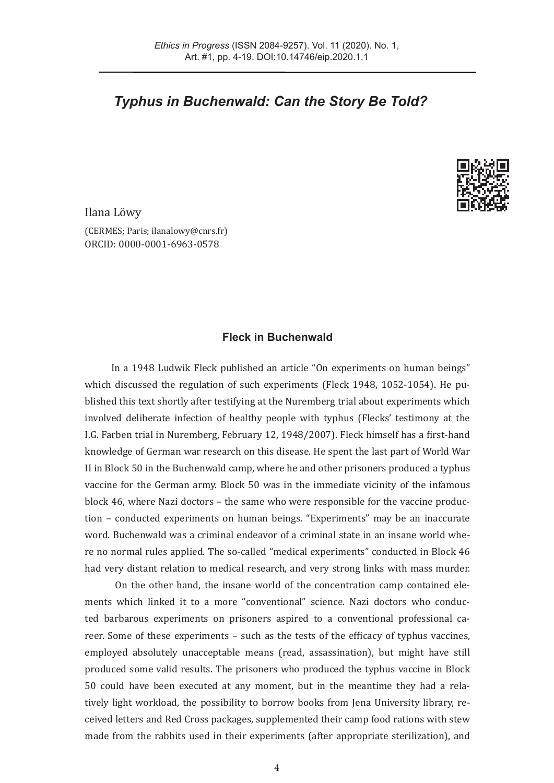# *Typhus in Buchenwald: Can the Story Be Told?*



Ilana Löwy

(CERMES; Paris; [ilanalowy@cnrs.fr](mailto:ilanalowy%40cnrs.fr?subject=)) ORCID: [0000-0001-6963-0578](https://orcid.org/0000-0001-6963-0578)

# **Fleck in Buchenwald**

In a 1948 Ludwik Fleck published an article "On experiments on human beings" which discussed the regulation of such experiments (Fleck 1948, 1052-1054). He published this text shortly after testifying at the Nuremberg trial about experiments which involved deliberate infection of healthy people with typhus (Flecks' testimony at the I.G. Farben trial in Nuremberg, February 12, 1948/2007). Fleck himself has a first-hand knowledge of German war research on this disease. He spent the last part of World War II in Block 50 in the Buchenwald camp, where he and other prisoners produced a typhus vaccine for the German army. Block 50 was in the immediate vicinity of the infamous block 46, where Nazi doctors – the same who were responsible for the vaccine production – conducted experiments on human beings. "Experiments" may be an inaccurate word. Buchenwald was a criminal endeavor of a criminal state in an insane world where no normal rules applied. The so-called "medical experiments" conducted in Block 46 had very distant relation to medical research, and very strong links with mass murder.

 On the other hand, the insane world of the concentration camp contained elements which linked it to a more "conventional" science. Nazi doctors who conducted barbarous experiments on prisoners aspired to a conventional professional career. Some of these experiments – such as the tests of the efficacy of typhus vaccines, employed absolutely unacceptable means (read, assassination), but might have still produced some valid results. The prisoners who produced the typhus vaccine in Block 50 could have been executed at any moment, but in the meantime they had a relatively light workload, the possibility to borrow books from Jena University library, received letters and Red Cross packages, supplemented their camp food rations with stew made from the rabbits used in their experiments (after appropriate sterilization), and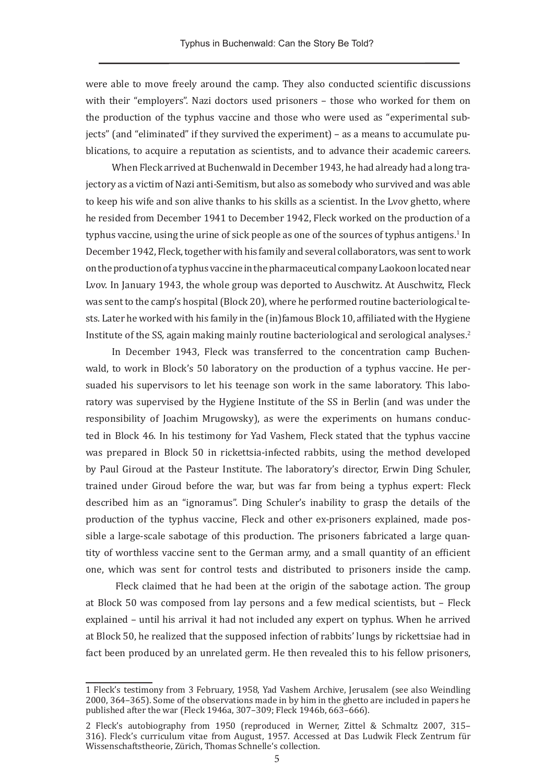were able to move freely around the camp. They also conducted scientific discussions with their "employers". Nazi doctors used prisoners – those who worked for them on the production of the typhus vaccine and those who were used as "experimental subjects" (and "eliminated" if they survived the experiment) – as a means to accumulate publications, to acquire a reputation as scientists, and to advance their academic careers.

When Fleck arrived at Buchenwald in December 1943, he had already had a long trajectory as a victim of Nazi anti-Semitism, but also as somebody who survived and was able to keep his wife and son alive thanks to his skills as a scientist. In the Lvov ghetto, where he resided from December 1941 to December 1942, Fleck worked on the production of a typhus vaccine, using the urine of sick people as one of the sources of typhus antigens.<sup>1</sup> In December 1942, Fleck, together with his family and several collaborators, was sent to work on the production of a typhus vaccine in the pharmaceutical company Laokoon located near Lvov. In January 1943, the whole group was deported to Auschwitz. At Auschwitz, Fleck was sent to the camp's hospital (Block 20), where he performed routine bacteriological tests. Later he worked with his family in the (in)famous Block 10, affiliated with the Hygiene Institute of the SS, again making mainly routine bacteriological and serological analyses.2

In December 1943, Fleck was transferred to the concentration camp Buchenwald, to work in Block's 50 laboratory on the production of a typhus vaccine. He persuaded his supervisors to let his teenage son work in the same laboratory. This laboratory was supervised by the Hygiene Institute of the SS in Berlin (and was under the responsibility of Joachim Mrugowsky), as were the experiments on humans conducted in Block 46. In his testimony for Yad Vashem, Fleck stated that the typhus vaccine was prepared in Block 50 in rickettsia-infected rabbits, using the method developed by Paul Giroud at the Pasteur Institute. The laboratory's director, Erwin Ding Schuler, trained under Giroud before the war, but was far from being a typhus expert: Fleck described him as an "ignoramus". Ding Schuler's inability to grasp the details of the production of the typhus vaccine, Fleck and other ex-prisoners explained, made possible a large-scale sabotage of this production. The prisoners fabricated a large quantity of worthless vaccine sent to the German army, and a small quantity of an efficient one, which was sent for control tests and distributed to prisoners inside the camp.

 Fleck claimed that he had been at the origin of the sabotage action. The group at Block 50 was composed from lay persons and a few medical scientists, but – Fleck explained – until his arrival it had not included any expert on typhus. When he arrived at Block 50, he realized that the supposed infection of rabbits' lungs by rickettsiae had in fact been produced by an unrelated germ. He then revealed this to his fellow prisoners,

<sup>1</sup> Fleck's testimony from 3 February, 1958, Yad Vashem Archive, Jerusalem (see also Weindling 2000, 364–365). Some of the observations made in by him in the ghetto are included in papers he published after the war (Fleck 1946a, 307–309; Fleck 1946b, 663–666).

<sup>2</sup> Fleck's autobiography from 1950 (reproduced in Werner, Zittel & Schmaltz 2007, 315– 316). Fleck's curriculum vitae from August, 1957. Accessed at Das Ludwik Fleck Zentrum für Wissenschaftstheorie, Zürich, Thomas Schnelle's collection.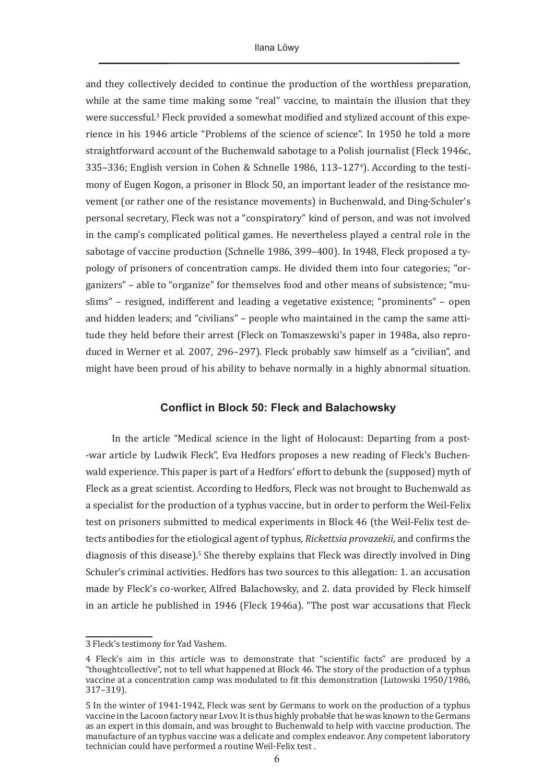and they collectively decided to continue the production of the worthless preparation, while at the same time making some "real" vaccine, to maintain the illusion that they were successful.<sup>3</sup> Fleck provided a somewhat modified and stylized account of this experience in his 1946 article "Problems of the science of science". In 1950 he told a more straightforward account of the Buchenwald sabotage to a Polish journalist (Fleck 1946c, 335–336; English version in Cohen & Schnelle 1986, 113–1274 ). According to the testimony of Eugen Kogon, a prisoner in Block 50, an important leader of the resistance movement (or rather one of the resistance movements) in Buchenwald, and Ding-Schuler's personal secretary, Fleck was not a "conspiratory" kind of person, and was not involved in the camp's complicated political games. He nevertheless played a central role in the sabotage of vaccine production (Schnelle 1986, 399–400). In 1948, Fleck proposed a typology of prisoners of concentration camps. He divided them into four categories; "organizers" – able to "organize" for themselves food and other means of subsistence; "muslims" – resigned, indifferent and leading a vegetative existence; "prominents" – open and hidden leaders; and "civilians" – people who maintained in the camp the same attitude they held before their arrest (Fleck on Tomaszewski's paper in 1948a, also reproduced in Werner et al. 2007, 296–297). Fleck probably saw himself as a "civilian", and might have been proud of his ability to behave normally in a highly abnormal situation.

#### **Conflict in Block 50: Fleck and Balachowsky**

In the article "Medical science in the light of Holocaust: Departing from a post- -war article by Ludwik Fleck", Eva Hedfors proposes a new reading of Fleck's Buchenwald experience. This paper is part of a Hedfors' effort to debunk the (supposed) myth of Fleck as a great scientist. According to Hedfors, Fleck was not brought to Buchenwald as a specialist for the production of a typhus vaccine, but in order to perform the Weil-Felix test on prisoners submitted to medical experiments in Block 46 (the Weil-Felix test detects antibodies for the etiological agent of typhus, *Rickettsia provazekii*, and confirms the diagnosis of this disease).<sup>5</sup> She thereby explains that Fleck was directly involved in Ding Schuler's criminal activities. Hedfors has two sources to this allegation: 1. an accusation made by Fleck's co-worker, Alfred Balachowsky, and 2. data provided by Fleck himself in an article he published in 1946 (Fleck 1946a). "The post war accusations that Fleck

<sup>3</sup> Fleck's testimony for Yad Vashem.

<sup>4</sup> Fleck's aim in this article was to demonstrate that "scientific facts" are produced by a "thoughtcollective", not to tell what happened at Block 46. The story of the production of a typhus vaccine at a concentration camp was modulated to fit this demonstration (Lutowski 1950/1986, 317–319).

<sup>5</sup> In the winter of 1941-1942, Fleck was sent by Germans to work on the production of a typhus vaccine in the Lacoon factory near Lvov. It is thus highly probable that he was known to the Germans as an expert in this domain, and was brought to Buchenwald to help with vaccine production. The manufacture of an typhus vaccine was a delicate and complex endeavor. Any competent laboratory technician could have performed a routine Weil-Felix test .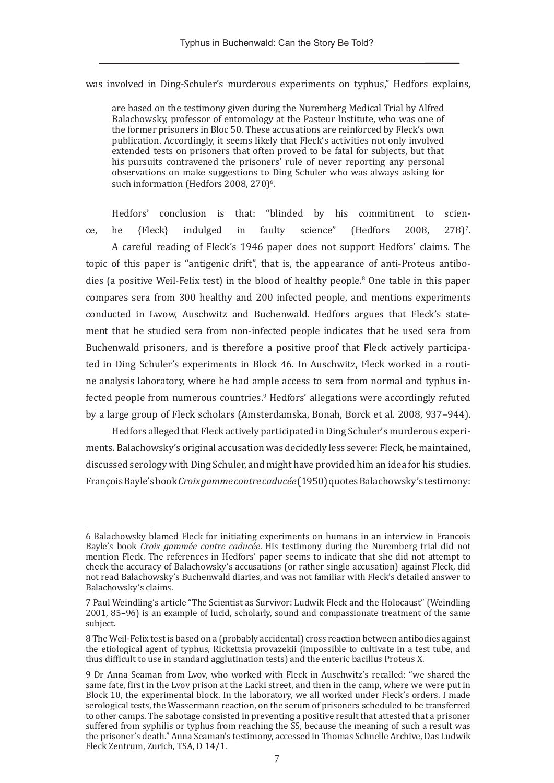was involved in Ding-Schuler's murderous experiments on typhus," Hedfors explains,

are based on the testimony given during the Nuremberg Medical Trial by Alfred Balachowsky, professor of entomology at the Pasteur Institute, who was one of the former prisoners in Bloc 50. These accusations are reinforced by Fleck's own publication. Accordingly, it seems likely that Fleck's activities not only involved extended tests on prisoners that often proved to be fatal for subjects, but that his pursuits contravened the prisoners' rule of never reporting any personal observations on make suggestions to Ding Schuler who was always asking for such information (Hedfors 2008, 270) $^{\circ}$ .

Hedfors' conclusion is that: "blinded by his commitment to science, he  ${Fleck}$  indulged in faulty science" (Hedfors 2008, 278)<sup>7</sup> 278)<sup>7</sup>. A careful reading of Fleck's 1946 paper does not support Hedfors' claims. The topic of this paper is "antigenic drift", that is, the appearance of anti-Proteus antibodies (a positive Weil-Felix test) in the blood of healthy people.<sup>8</sup> One table in this paper compares sera from 300 healthy and 200 infected people, and mentions experiments conducted in Lwow, Auschwitz and Buchenwald. Hedfors argues that Fleck's statement that he studied sera from non-infected people indicates that he used sera from Buchenwald prisoners, and is therefore a positive proof that Fleck actively participated in Ding Schuler's experiments in Block 46. In Auschwitz, Fleck worked in a routine analysis laboratory, where he had ample access to sera from normal and typhus infected people from numerous countries.<sup>9</sup> Hedfors' allegations were accordingly refuted by a large group of Fleck scholars (Amsterdamska, Bonah, Borck et al. 2008, 937–944).

Hedfors alleged that Fleck actively participated in Ding Schuler's murderous experiments. Balachowsky's original accusation was decidedly less severe: Fleck, he maintained, discussed serology with Ding Schuler, and might have provided him an idea for his studies. François Bayle's book *Croix gamme contre caducée* (1950) quotes Balachowsky's testimony:

<sup>6</sup> Balachowsky blamed Fleck for initiating experiments on humans in an interview in Francois Bayle's book *Croix gammée contre caducée*. His testimony during the Nuremberg trial did not mention Fleck. The references in Hedfors' paper seems to indicate that she did not attempt to check the accuracy of Balachowsky's accusations (or rather single accusation) against Fleck, did not read Balachowsky's Buchenwald diaries, and was not familiar with Fleck's detailed answer to Balachowsky's claims.

<sup>7</sup> Paul Weindling's article "The Scientist as Survivor: Ludwik Fleck and the Holocaust" (Weindling 2001, 85–96) is an example of lucid, scholarly, sound and compassionate treatment of the same subject.

<sup>8</sup> The Weil-Felix test is based on a (probably accidental) cross reaction between antibodies against the etiological agent of typhus, Rickettsia provazekii (impossible to cultivate in a test tube, and thus difficult to use in standard agglutination tests) and the enteric bacillus Proteus X.

<sup>9</sup> Dr Anna Seaman from Lvov, who worked with Fleck in Auschwitz's recalled: "we shared the same fate, first in the Lvov prison at the Lacki street, and then in the camp, where we were put in Block 10, the experimental block. In the laboratory, we all worked under Fleck's orders. I made serological tests, the Wassermann reaction, on the serum of prisoners scheduled to be transferred to other camps. The sabotage consisted in preventing a positive result that attested that a prisoner suffered from syphilis or typhus from reaching the SS, because the meaning of such a result was the prisoner's death." Anna Seaman's testimony, accessed in Thomas Schnelle Archive, Das Ludwik Fleck Zentrum, Zurich, TSA, D 14/1.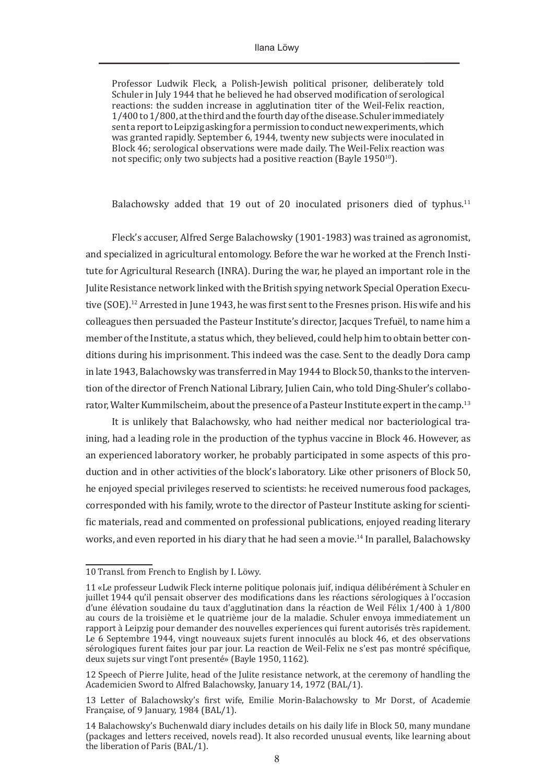Professor Ludwik Fleck, a Polish-Jewish political prisoner, deliberately told Schuler in July 1944 that he believed he had observed modification of serological reactions: the sudden increase in agglutination titer of the Weil-Felix reaction, 1/400 to 1/800, at the third and the fourth day of the disease. Schuler immediately sent a report to Leipzig asking for a permission to conduct new experiments, which was granted rapidly. September 6, 1944, twenty new subjects were inoculated in Block 46; serological observations were made daily. The Weil-Felix reaction was not specific; only two subjects had a positive reaction (Bayle  $1950^{10}$ ).

Balachowsky added that 19 out of 20 inoculated prisoners died of typhus.<sup>11</sup>

Fleck's accuser, Alfred Serge Balachowsky (1901-1983) was trained as agronomist, and specialized in agricultural entomology. Before the war he worked at the French Institute for Agricultural Research (INRA). During the war, he played an important role in the Julite Resistance network linked with the British spying network Special Operation Executive (SOE).<sup>12</sup> Arrested in June 1943, he was first sent to the Fresnes prison. His wife and his colleagues then persuaded the Pasteur Institute's director, Jacques Trefuël, to name him a member of the Institute, a status which, they believed, could help him to obtain better conditions during his imprisonment. This indeed was the case. Sent to the deadly Dora camp in late 1943, Balachowsky was transferred in May 1944 to Block 50, thanks to the intervention of the director of French National Library, Julien Cain, who told Ding-Shuler's collaborator, Walter Kummilscheim, about the presence of a Pasteur Institute expert in the camp.13

It is unlikely that Balachowsky, who had neither medical nor bacteriological training, had a leading role in the production of the typhus vaccine in Block 46. However, as an experienced laboratory worker, he probably participated in some aspects of this production and in other activities of the block's laboratory. Like other prisoners of Block 50, he enjoyed special privileges reserved to scientists: he received numerous food packages, corresponded with his family, wrote to the director of Pasteur Institute asking for scientific materials, read and commented on professional publications, enjoyed reading literary works, and even reported in his diary that he had seen a movie.14 In parallel, Balachowsky

<sup>10</sup> Transl. from French to English by I. Löwy.

<sup>11 «</sup>Le professeur Ludwik Fleck interne politique polonais juif, indiqua délibérément à Schuler en juillet 1944 qu'il pensait observer des modifications dans les réactions sérologiques à l'occasion d'une élévation soudaine du taux d'agglutination dans la réaction de Weil Félix 1/400 à 1/800 au cours de la troisième et le quatrième jour de la maladie. Schuler envoya immediatement un rapport à Leipzig pour demander des nouvelles experiences qui furent autorisés très rapidement. Le 6 Septembre 1944, vingt nouveaux sujets furent innoculés au block 46, et des observations sérologiques furent faites jour par jour. La reaction de Weil-Felix ne s'est pas montré spécifique, deux sujets sur vingt l'ont presenté» (Bayle 1950, 1162).

<sup>12</sup> Speech of Pierre Julite, head of the Julite resistance network, at the ceremony of handling the Academicien Sword to Alfred Balachowsky, January 14, 1972 (BAL/1).

<sup>13</sup> Letter of Balachowsky's first wife, Emilie Morin-Balachowsky to Mr Dorst, of Academie Française, of 9 January, 1984 (BAL/1).

<sup>14</sup> Balachowsky's Buchenwald diary includes details on his daily life in Block 50, many mundane (packages and letters received, novels read). It also recorded unusual events, like learning about the liberation of Paris (BAL/1).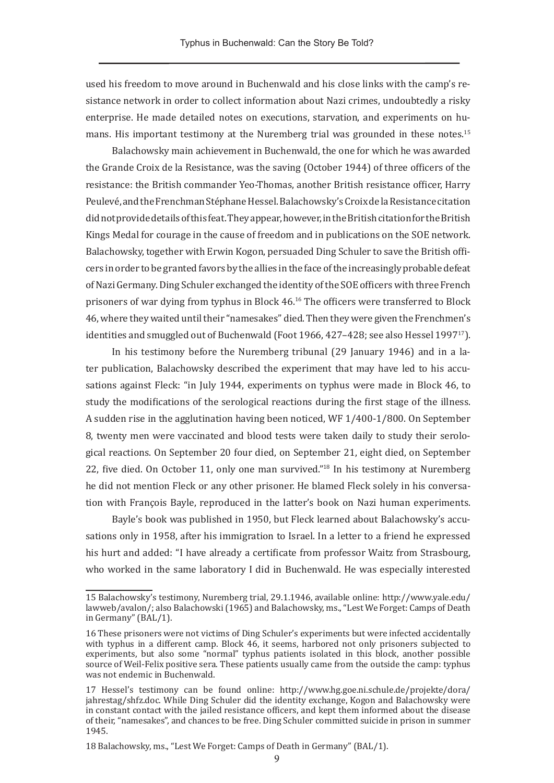used his freedom to move around in Buchenwald and his close links with the camp's resistance network in order to collect information about Nazi crimes, undoubtedly a risky enterprise. He made detailed notes on executions, starvation, and experiments on humans. His important testimony at the Nuremberg trial was grounded in these notes.15

Balachowsky main achievement in Buchenwald, the one for which he was awarded the Grande Croix de la Resistance, was the saving (October 1944) of three officers of the resistance: the British commander Yeo-Thomas, another British resistance officer, Harry Peulevé, and the Frenchman Stéphane Hessel. Balachowsky's Croix de la Resistance citation did not provide details of this feat. They appear, however, in the British citation for the British Kings Medal for courage in the cause of freedom and in publications on the SOE network. Balachowsky, together with Erwin Kogon, persuaded Ding Schuler to save the British officers in order to be granted favors by the allies in the face of the increasingly probable defeat of Nazi Germany. Ding Schuler exchanged the identity of the SOE officers with three French prisoners of war dying from typhus in Block 46.16 The officers were transferred to Block 46, where they waited until their "namesakes" died. Then they were given the Frenchmen's identities and smuggled out of Buchenwald (Foot 1966, 427-428; see also Hessel 1997<sup>17</sup>).

In his testimony before the Nuremberg tribunal (29 January 1946) and in a later publication, Balachowsky described the experiment that may have led to his accusations against Fleck: "in July 1944, experiments on typhus were made in Block 46, to study the modifications of the serological reactions during the first stage of the illness. A sudden rise in the agglutination having been noticed, WF 1/400-1/800. On September 8, twenty men were vaccinated and blood tests were taken daily to study their serological reactions. On September 20 four died, on September 21, eight died, on September 22, five died. On October 11, only one man survived."18 In his testimony at Nuremberg he did not mention Fleck or any other prisoner. He blamed Fleck solely in his conversation with François Bayle, reproduced in the latter's book on Nazi human experiments.

Bayle's book was published in 1950, but Fleck learned about Balachowsky's accusations only in 1958, after his immigration to Israel. In a letter to a friend he expressed his hurt and added: "I have already a certificate from professor Waitz from Strasbourg, who worked in the same laboratory I did in Buchenwald. He was especially interested

<sup>15</sup> Balachowsky's testimony, Nuremberg trial, 29.1.1946, available online: http://www.yale.edu/ lawweb/avalon/; also Balachowski(1965) and Balachowsky, ms., "Lest We Forget: Camps of Death in Germany" (BAL/1).

<sup>16</sup> These prisoners were not victims of Ding Schuler's experiments but were infected accidentally with typhus in a different camp. Block 46, it seems, harbored not only prisoners subjected to experiments, but also some "normal" typhus patients isolated in this block, another possible source of Weil-Felix positive sera. These patients usually came from the outside the camp: typhus was not endemic in Buchenwald.

<sup>17</sup> Hessel's testimony can be found online: [http://www.hg.goe.ni.schule.de/projekte/dora/](http://www.hg.goe.ni.schule.de/projekte/dora/jahrestag/shfz.doc) [jahrestag/shfz.doc](http://www.hg.goe.ni.schule.de/projekte/dora/jahrestag/shfz.doc). While Ding Schuler did the identity exchange, Kogon and Balachowsky were in constant contact with the jailed resistance officers, and kept them informed about the disease of their, "namesakes", and chances to be free. Ding Schuler committed suicide in prison in summer 1945.

<sup>18</sup> Balachowsky, ms., "Lest We Forget: Camps of Death in Germany" (BAL/1).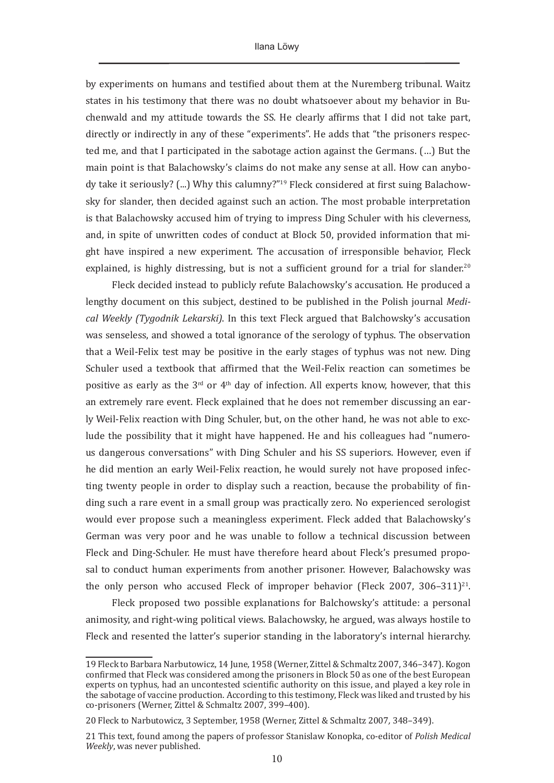by experiments on humans and testified about them at the Nuremberg tribunal. Waitz states in his testimony that there was no doubt whatsoever about my behavior in Buchenwald and my attitude towards the SS. He clearly affirms that I did not take part, directly or indirectly in any of these "experiments". He adds that "the prisoners respected me, and that I participated in the sabotage action against the Germans. (…) But the main point is that Balachowsky's claims do not make any sense at all. How can anybody take it seriously? (...) Why this calumny?"19 Fleck considered at first suing Balachowsky for slander, then decided against such an action. The most probable interpretation is that Balachowsky accused him of trying to impress Ding Schuler with his cleverness, and, in spite of unwritten codes of conduct at Block 50, provided information that might have inspired a new experiment. The accusation of irresponsible behavior, Fleck explained, is highly distressing, but is not a sufficient ground for a trial for slander.<sup>20</sup>

Fleck decided instead to publicly refute Balachowsky's accusation. He produced a lengthy document on this subject, destined to be published in the Polish journal *Medical Weekly (Tygodnik Lekarski)*. In this text Fleck argued that Balchowsky's accusation was senseless, and showed a total ignorance of the serology of typhus. The observation that a Weil-Felix test may be positive in the early stages of typhus was not new. Ding Schuler used a textbook that affirmed that the Weil-Felix reaction can sometimes be positive as early as the  $3<sup>rd</sup>$  or  $4<sup>th</sup>$  day of infection. All experts know, however, that this an extremely rare event. Fleck explained that he does not remember discussing an early Weil-Felix reaction with Ding Schuler, but, on the other hand, he was not able to exclude the possibility that it might have happened. He and his colleagues had "numerous dangerous conversations" with Ding Schuler and his SS superiors. However, even if he did mention an early Weil-Felix reaction, he would surely not have proposed infecting twenty people in order to display such a reaction, because the probability of finding such a rare event in a small group was practically zero. No experienced serologist would ever propose such a meaningless experiment. Fleck added that Balachowsky's German was very poor and he was unable to follow a technical discussion between Fleck and Ding-Schuler. He must have therefore heard about Fleck's presumed proposal to conduct human experiments from another prisoner. However, Balachowsky was the only person who accused Fleck of improper behavior (Fleck 2007, 306–311)<sup>21</sup>.

Fleck proposed two possible explanations for Balchowsky's attitude: a personal animosity, and right-wing political views. Balachowsky, he argued, was always hostile to Fleck and resented the latter's superior standing in the laboratory's internal hierarchy.

<sup>19</sup> Fleck to Barbara Narbutowicz, 14 June, 1958 (Werner, Zittel & Schmaltz 2007, 346–347). Kogon confirmed that Fleck was considered among the prisoners in Block 50 as one of the best European experts on typhus, had an uncontested scientific authority on this issue, and played a key role in the sabotage of vaccine production. According to this testimony, Fleck was liked and trusted by his co-prisoners (Werner, Zittel & Schmaltz 2007, 399–400).

<sup>20</sup> Fleck to Narbutowicz, 3 September, 1958 (Werner, Zittel & Schmaltz 2007*,* 348–349).

<sup>21</sup> This text, found among the papers of professor Stanislaw Konopka, co-editor of *Polish Medical Weekly*, was never published.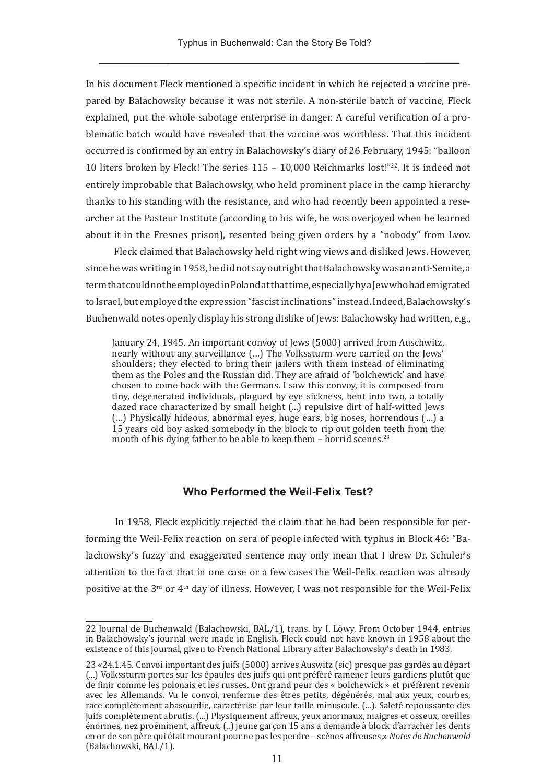In his document Fleck mentioned a specific incident in which he rejected a vaccine prepared by Balachowsky because it was not sterile. A non-sterile batch of vaccine, Fleck explained, put the whole sabotage enterprise in danger. A careful verification of a problematic batch would have revealed that the vaccine was worthless. That this incident occurred is confirmed by an entry in Balachowsky's diary of 26 February, 1945: "balloon 10 liters broken by Fleck! The series 115 – 10,000 Reichmarks lost!"22. It is indeed not entirely improbable that Balachowsky, who held prominent place in the camp hierarchy thanks to his standing with the resistance, and who had recently been appointed a researcher at the Pasteur Institute (according to his wife, he was overjoyed when he learned about it in the Fresnes prison), resented being given orders by a "nobody" from Lvov.

 Fleck claimed that Balachowsky held right wing views and disliked Jews. However, since he was writing in 1958, he did not say outright that Balachowsky was an anti-Semite, a term that could not be employed in Poland at that time, especially by a Jew who had emigrated to Israel, but employed the expression "fascist inclinations" instead. Indeed, Balachowsky's Buchenwald notes openly display his strong dislike of Jews: Balachowsky had written, e.g.,

January 24, 1945. An important convoy of Jews (5000) arrived from Auschwitz, nearly without any surveillance (…) The Volkssturm were carried on the Jews' shoulders; they elected to bring their jailers with them instead of eliminating them as the Poles and the Russian did. They are afraid of 'bolchewick' and have chosen to come back with the Germans. I saw this convoy, it is composed from tiny, degenerated individuals, plagued by eye sickness, bent into two, a totally dazed race characterized by small height (...) repulsive dirt of half-witted Jews (…) Physically hideous, abnormal eyes, huge ears, big noses, horrendous (…) a 15 years old boy asked somebody in the block to rip out golden teeth from the mouth of his dying father to be able to keep them – horrid scenes.<sup>23</sup>

## **Who Performed the Weil-Felix Test?**

 In 1958, Fleck explicitly rejected the claim that he had been responsible for performing the Weil-Felix reaction on sera of people infected with typhus in Block 46: "Balachowsky's fuzzy and exaggerated sentence may only mean that I drew Dr. Schuler's attention to the fact that in one case or a few cases the Weil-Felix reaction was already positive at the 3<sup>rd</sup> or 4<sup>th</sup> day of illness. However, I was not responsible for the Weil-Felix

<sup>22</sup> Journal de Buchenwald (Balachowski, BAL/1), trans. by I. Löwy. From October 1944, entries in Balachowsky's journal were made in English. Fleck could not have known in 1958 about the existence of this journal, given to French National Library after Balachowsky's death in 1983.

<sup>23 «24.1.45.</sup> Convoi important des juifs (5000) arrives Auswitz (sic) presque pas gardés au départ (...) Volkssturm portes sur les épaules des juifs qui ont préfèré ramener leurs gardiens plutôt que de finir comme les polonais et les russes. Ont grand peur des « bolchewick » et préfèrent revenir avec les Allemands. Vu le convoi, renferme des êtres petits, dégénérés, mal aux yeux, courbes, race complètement abasourdie, caractérise par leur taille minuscule. (...). Saleté repoussante des juifs complètement abrutis. (...) Physiquement affreux, yeux anormaux, maigres et osseux, oreilles énormes, nez proéminent, affreux. (..) jeune garçon 15 ans a demande à block d'arracher les dents en or de son père qui était mourant pour ne pas les perdre – scènes affreuses,» *Notes de Buchenwald* (Balachowski, BAL/1).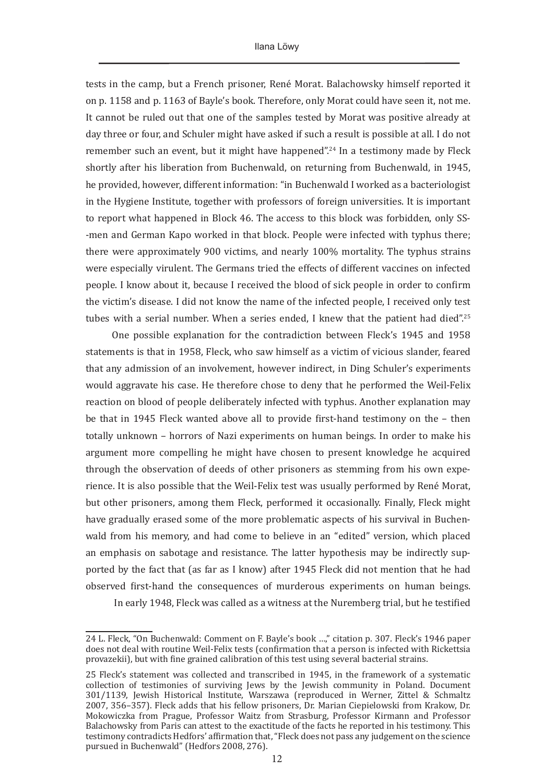tests in the camp, but a French prisoner, René Morat. Balachowsky himself reported it on p. 1158 and p. 1163 of Bayle's book. Therefore, only Morat could have seen it, not me. It cannot be ruled out that one of the samples tested by Morat was positive already at day three or four, and Schuler might have asked if such a result is possible at all. I do not remember such an event, but it might have happened".<sup>24</sup> In a testimony made by Fleck shortly after his liberation from Buchenwald, on returning from Buchenwald, in 1945, he provided, however, different information: "in Buchenwald I worked as a bacteriologist in the Hygiene Institute, together with professors of foreign universities. It is important to report what happened in Block 46. The access to this block was forbidden, only SS- -men and German Kapo worked in that block. People were infected with typhus there; there were approximately 900 victims, and nearly 100% mortality. The typhus strains were especially virulent. The Germans tried the effects of different vaccines on infected people. I know about it, because I received the blood of sick people in order to confirm the victim's disease. I did not know the name of the infected people, I received only test tubes with a serial number. When a series ended, I knew that the patient had died".<sup>25</sup>

One possible explanation for the contradiction between Fleck's 1945 and 1958 statements is that in 1958, Fleck, who saw himself as a victim of vicious slander, feared that any admission of an involvement, however indirect, in Ding Schuler's experiments would aggravate his case. He therefore chose to deny that he performed the Weil-Felix reaction on blood of people deliberately infected with typhus. Another explanation may be that in 1945 Fleck wanted above all to provide first-hand testimony on the – then totally unknown – horrors of Nazi experiments on human beings. In order to make his argument more compelling he might have chosen to present knowledge he acquired through the observation of deeds of other prisoners as stemming from his own experience. It is also possible that the Weil-Felix test was usually performed by René Morat, but other prisoners, among them Fleck, performed it occasionally. Finally, Fleck might have gradually erased some of the more problematic aspects of his survival in Buchenwald from his memory, and had come to believe in an "edited" version, which placed an emphasis on sabotage and resistance. The latter hypothesis may be indirectly supported by the fact that (as far as I know) after 1945 Fleck did not mention that he had observed first-hand the consequences of murderous experiments on human beings.

In early 1948, Fleck was called as a witness at the Nuremberg trial, but he testified

<sup>24</sup> L. Fleck, "On Buchenwald: Comment on F. Bayle's book …," citation p. 307. Fleck's 1946 paper does not deal with routine Weil-Felix tests (confirmation that a person is infected with Rickettsia provazekii), but with fine grained calibration of this test using several bacterial strains.

<sup>25</sup> Fleck's statement was collected and transcribed in 1945, in the framework of a systematic collection of testimonies of surviving Jews by the Jewish community in Poland. Document 301/1139, Jewish Historical Institute, Warszawa (reproduced in Werner, Zittel & Schmaltz 2007, 356–357). Fleck adds that his fellow prisoners, Dr. Marian Ciepielowski from Krakow, Dr. Mokowiczka from Prague, Professor Waitz from Strasburg, Professor Kirmann and Professor Balachowsky from Paris can attest to the exactitude of the facts he reported in his testimony. This testimony contradicts Hedfors' affirmation that, "Fleck does not pass any judgement on the science pursued in Buchenwald" (Hedfors 2008, 276).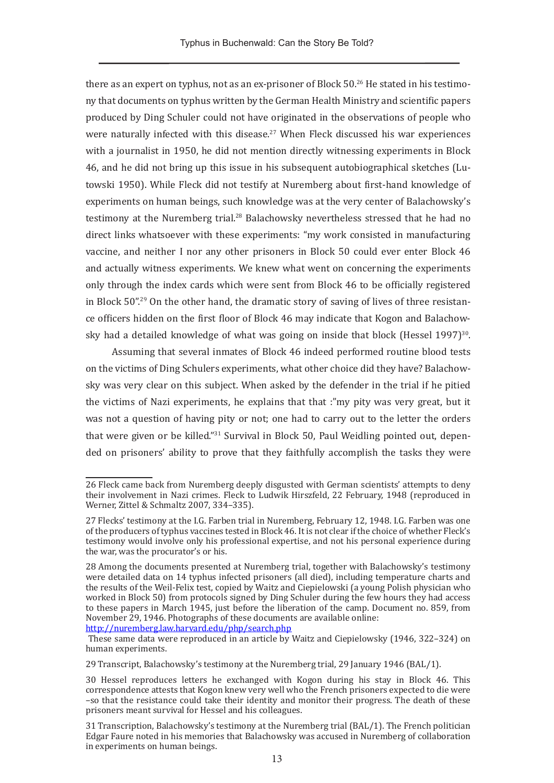there as an expert on typhus, not as an ex-prisoner of Block  $50<sup>26</sup>$  He stated in his testimony that documents on typhus written by the German Health Ministry and scientific papers produced by Ding Schuler could not have originated in the observations of people who were naturally infected with this disease.<sup>27</sup> When Fleck discussed his war experiences with a journalist in 1950, he did not mention directly witnessing experiments in Block 46, and he did not bring up this issue in his subsequent autobiographical sketches (Lutowski 1950). While Fleck did not testify at Nuremberg about first-hand knowledge of experiments on human beings, such knowledge was at the very center of Balachowsky's testimony at the Nuremberg trial.<sup>28</sup> Balachowsky nevertheless stressed that he had no direct links whatsoever with these experiments: "my work consisted in manufacturing vaccine, and neither I nor any other prisoners in Block 50 could ever enter Block 46 and actually witness experiments. We knew what went on concerning the experiments only through the index cards which were sent from Block 46 to be officially registered in Block 50".29 On the other hand, the dramatic story of saving of lives of three resistance officers hidden on the first floor of Block 46 may indicate that Kogon and Balachowsky had a detailed knowledge of what was going on inside that block (Hessel 1997)<sup>30</sup>.

Assuming that several inmates of Block 46 indeed performed routine blood tests on the victims of Ding Schulers experiments, what other choice did they have? Balachowsky was very clear on this subject. When asked by the defender in the trial if he pitied the victims of Nazi experiments, he explains that that :"my pity was very great, but it was not a question of having pity or not; one had to carry out to the letter the orders that were given or be killed."31 Survival in Block 50, Paul Weidling pointed out, depended on prisoners' ability to prove that they faithfully accomplish the tasks they were

<sup>26</sup> Fleck came back from Nuremberg deeply disgusted with German scientists' attempts to deny their involvement in Nazi crimes. Fleck to Ludwik Hirszfeld, 22 February, 1948 (reproduced in Werner, Zittel & Schmaltz 2007, 334–335).

<sup>27</sup> Flecks' testimony at the I.G. Farben trial in Nuremberg, February 12, 1948. I.G. Farben was one of the producers of typhus vaccines tested in Block 46. It is not clear if the choice of whether Fleck's testimony would involve only his professional expertise, and not his personal experience during the war, was the procurator's or his.

<sup>28</sup> Among the documents presented at Nuremberg trial, together with Balachowsky's testimony were detailed data on 14 typhus infected prisoners (all died), including temperature charts and the results of the Weil-Felix test, copied by Waitz and Ciepielowski (a young Polish physician who worked in Block 50) from protocols signed by Ding Schuler during the few hours they had access to these papers in March 1945, just before the liberation of the camp. Document no. 859, from November 29, 1946. Photographs of these documents are available online:

<http://nuremberg.law.harvard.edu/php/search.php> These same data were reproduced in an article by Waitz and Ciepielowsky (1946, 322–324) on human experiments.

<sup>29</sup> Transcript, Balachowsky's testimony at the Nuremberg trial, 29 January 1946 (BAL/1).

<sup>30</sup> Hessel reproduces letters he exchanged with Kogon during his stay in Block 46. This correspondence attests that Kogon knew very well who the French prisoners expected to die were –so that the resistance could take their identity and monitor their progress. The death of these prisoners meant survival for Hessel and his colleagues.

<sup>31</sup> Transcription, Balachowsky's testimony at the Nuremberg trial (BAL/1). The French politician Edgar Faure noted in his memories that Balachowsky was accused in Nuremberg of collaboration in experiments on human beings.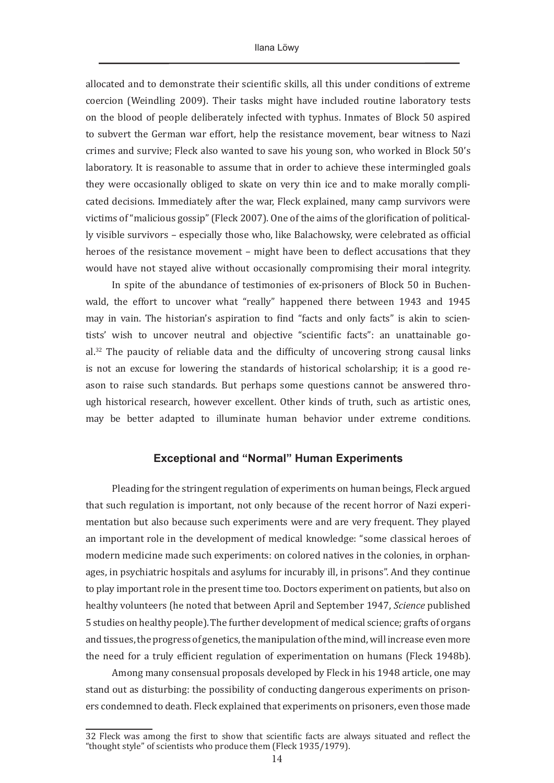allocated and to demonstrate their scientific skills, all this under conditions of extreme coercion (Weindling 2009). Their tasks might have included routine laboratory tests on the blood of people deliberately infected with typhus. Inmates of Block 50 aspired to subvert the German war effort, help the resistance movement, bear witness to Nazi crimes and survive; Fleck also wanted to save his young son, who worked in Block 50's laboratory. It is reasonable to assume that in order to achieve these intermingled goals they were occasionally obliged to skate on very thin ice and to make morally complicated decisions. Immediately after the war, Fleck explained, many camp survivors were victims of "malicious gossip" (Fleck 2007). One of the aims of the glorification of politically visible survivors – especially those who, like Balachowsky, were celebrated as official heroes of the resistance movement – might have been to deflect accusations that they would have not stayed alive without occasionally compromising their moral integrity.

In spite of the abundance of testimonies of ex-prisoners of Block 50 in Buchenwald, the effort to uncover what "really" happened there between 1943 and 1945 may in vain. The historian's aspiration to find "facts and only facts" is akin to scientists' wish to uncover neutral and objective "scientific facts": an unattainable goal.32 The paucity of reliable data and the difficulty of uncovering strong causal links is not an excuse for lowering the standards of historical scholarship; it is a good reason to raise such standards. But perhaps some questions cannot be answered through historical research, however excellent. Other kinds of truth, such as artistic ones, may be better adapted to illuminate human behavior under extreme conditions.

### **Exceptional and "Normal" Human Experiments**

Pleading for the stringent regulation of experiments on human beings, Fleck argued that such regulation is important, not only because of the recent horror of Nazi experimentation but also because such experiments were and are very frequent. They played an important role in the development of medical knowledge: "some classical heroes of modern medicine made such experiments: on colored natives in the colonies, in orphanages, in psychiatric hospitals and asylums for incurably ill, in prisons". And they continue to play important role in the present time too. Doctors experiment on patients, but also on healthy volunteers (he noted that between April and September 1947, *Science* published 5 studies on healthy people).The further development of medical science; grafts of organs and tissues, the progress of genetics, the manipulation of the mind, will increase even more the need for a truly efficient regulation of experimentation on humans (Fleck 1948b).

Among many consensual proposals developed by Fleck in his 1948 article, one may stand out as disturbing: the possibility of conducting dangerous experiments on prisoners condemned to death. Fleck explained that experiments on prisoners, even those made

<sup>32</sup> Fleck was among the first to show that scientific facts are always situated and reflect the "thought style" of scientists who produce them (Fleck 1935/1979).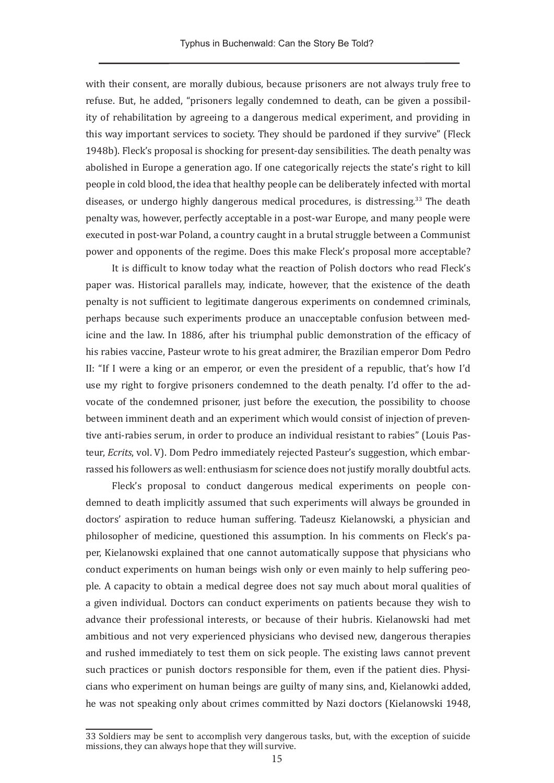with their consent, are morally dubious, because prisoners are not always truly free to refuse. But, he added, "prisoners legally condemned to death, can be given a possibility of rehabilitation by agreeing to a dangerous medical experiment, and providing in this way important services to society. They should be pardoned if they survive" (Fleck 1948b). Fleck's proposal is shocking for present-day sensibilities. The death penalty was abolished in Europe a generation ago. If one categorically rejects the state's right to kill people in cold blood, the idea that healthy people can be deliberately infected with mortal diseases, or undergo highly dangerous medical procedures, is distressing.33 The death penalty was, however, perfectly acceptable in a post-war Europe, and many people were executed in post-war Poland, a country caught in a brutal struggle between a Communist power and opponents of the regime. Does this make Fleck's proposal more acceptable?

It is difficult to know today what the reaction of Polish doctors who read Fleck's paper was. Historical parallels may, indicate, however, that the existence of the death penalty is not sufficient to legitimate dangerous experiments on condemned criminals, perhaps because such experiments produce an unacceptable confusion between medicine and the law. In 1886, after his triumphal public demonstration of the efficacy of his rabies vaccine, Pasteur wrote to his great admirer, the Brazilian emperor Dom Pedro II: "If I were a king or an emperor, or even the president of a republic, that's how I'd use my right to forgive prisoners condemned to the death penalty. I'd offer to the advocate of the condemned prisoner, just before the execution, the possibility to choose between imminent death and an experiment which would consist of injection of preventive anti-rabies serum, in order to produce an individual resistant to rabies" (Louis Pasteur, *Ecrits*, vol. V). Dom Pedro immediately rejected Pasteur's suggestion, which embarrassed his followers as well: enthusiasm for science does not justify morally doubtful acts.

Fleck's proposal to conduct dangerous medical experiments on people condemned to death implicitly assumed that such experiments will always be grounded in doctors' aspiration to reduce human suffering. Tadeusz Kielanowski, a physician and philosopher of medicine, questioned this assumption. In his comments on Fleck's paper, Kielanowski explained that one cannot automatically suppose that physicians who conduct experiments on human beings wish only or even mainly to help suffering people. A capacity to obtain a medical degree does not say much about moral qualities of a given individual. Doctors can conduct experiments on patients because they wish to advance their professional interests, or because of their hubris. Kielanowski had met ambitious and not very experienced physicians who devised new, dangerous therapies and rushed immediately to test them on sick people. The existing laws cannot prevent such practices or punish doctors responsible for them, even if the patient dies. Physicians who experiment on human beings are guilty of many sins, and, Kielanowki added, he was not speaking only about crimes committed by Nazi doctors (Kielanowski 1948,

<sup>33</sup> Soldiers may be sent to accomplish very dangerous tasks, but, with the exception of suicide missions, they can always hope that they will survive.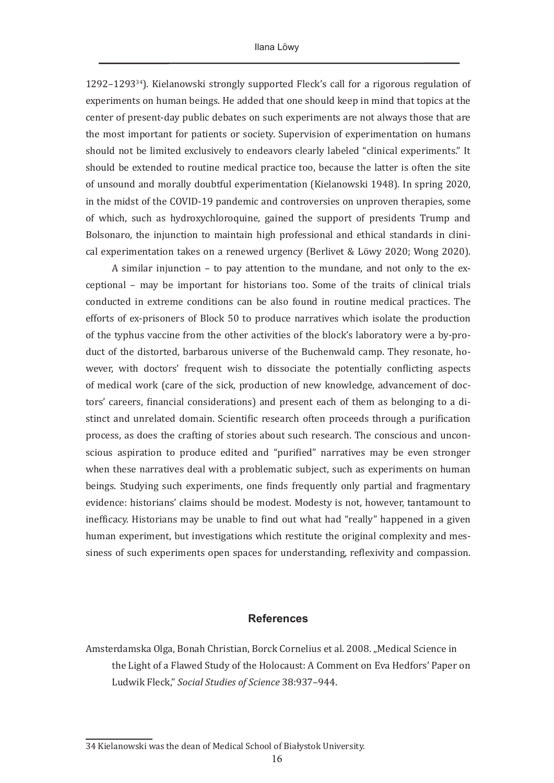$1292-1293^{34}$ ). Kielanowski strongly supported Fleck's call for a rigorous regulation of experiments on human beings. He added that one should keep in mind that topics at the center of present-day public debates on such experiments are not always those that are the most important for patients or society. Supervision of experimentation on humans should not be limited exclusively to endeavors clearly labeled "clinical experiments." It should be extended to routine medical practice too, because the latter is often the site of unsound and morally doubtful experimentation (Kielanowski 1948). In spring 2020, in the midst of the COVID-19 pandemic and controversies on unproven therapies, some of which, such as hydroxychloroquine, gained the support of presidents Trump and Bolsonaro, the injunction to maintain high professional and ethical standards in clinical experimentation takes on a renewed urgency (Berlivet & Löwy 2020; Wong 2020).

A similar injunction – to pay attention to the mundane, and not only to the exceptional – may be important for historians too. Some of the traits of clinical trials conducted in extreme conditions can be also found in routine medical practices. The efforts of ex-prisoners of Block 50 to produce narratives which isolate the production of the typhus vaccine from the other activities of the block's laboratory were a by-product of the distorted, barbarous universe of the Buchenwald camp. They resonate, however, with doctors' frequent wish to dissociate the potentially conflicting aspects of medical work (care of the sick, production of new knowledge, advancement of doctors' careers, financial considerations) and present each of them as belonging to a distinct and unrelated domain. Scientific research often proceeds through a purification process, as does the crafting of stories about such research. The conscious and unconscious aspiration to produce edited and "purified" narratives may be even stronger when these narratives deal with a problematic subject, such as experiments on human beings. Studying such experiments, one finds frequently only partial and fragmentary evidence: historians' claims should be modest. Modesty is not, however, tantamount to inefficacy. Historians may be unable to find out what had "really" happened in a given human experiment, but investigations which restitute the original complexity and messiness of such experiments open spaces for understanding, reflexivity and compassion.

#### **References**

Amsterdamska Olga, Bonah Christian, Borck Cornelius et al. 2008. "Medical Science in the Light of a Flawed Study of the Holocaust: A Comment on Eva Hedfors' Paper on Ludwik Fleck," *Social Studies of Science* 38:937–944.

<sup>34</sup> Kielanowski was the dean of Medical School of Białystok University.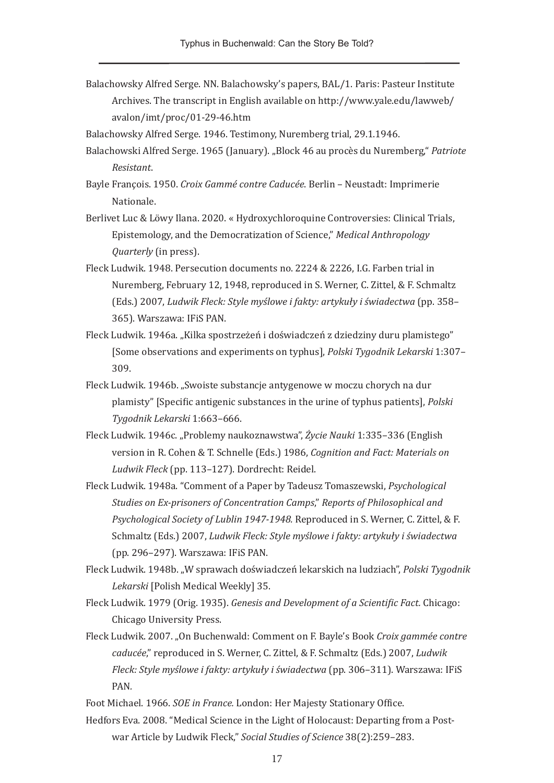Balachowsky Alfred Serge. NN. Balachowsky's papers, BAL/1. Paris: Pasteur Institute Archives. The transcript in English available on http://www.yale.edu/lawweb/ avalon/imt/proc/01-29-46.htm

Balachowsky Alfred Serge. 1946. Testimony, Nuremberg trial, 29.1.1946.

- Balachowski Alfred Serge. 1965 (January). "Block 46 au procès du Nuremberg," *Patriote Resistant*.
- Bayle François. 1950. *Croix Gammé contre Caducée*. Berlin Neustadt: Imprimerie Nationale.
- Berlivet Luc & Löwy Ilana. 2020. « Hydroxychloroquine Controversies: Clinical Trials, Epistemology, and the Democratization of Science," *Medical Anthropology Quarterly* (in press).
- Fleck Ludwik. 1948. Persecution documents no. 2224 & 2226, I.G. Farben trial in Nuremberg, February 12, 1948, reproduced in S. Werner, C. Zittel, & F. Schmaltz (Eds.) 2007, *Ludwik Fleck: Style myślowe i fakty: artykuły i świadectwa* (pp. 358– 365). Warszawa: IFiS PAN.
- Fleck Ludwik. 1946a. "Kilka spostrzeżeń i doświadczeń z dziedziny duru plamistego" [Some observations and experiments on typhus], *Polski Tygodnik Lekarski* 1:307– 309.
- Fleck Ludwik. 1946b. "Swoiste substancje antygenowe w moczu chorych na dur plamisty" [Specific antigenic substances in the urine of typhus patients], *Polski Tygodnik Lekarski* 1:663–666.
- Fleck Ludwik. 1946c. "Problemy naukoznawstwa", *Życie Nauki* 1:335–336 (English version in R. Cohen & T. Schnelle (Eds.) 1986, *Cognition and Fact: Materials on Ludwik Fleck* (pp. 113–127). Dordrecht: Reidel.
- Fleck Ludwik. 1948a. "Comment of a Paper by Tadeusz Tomaszewski, *Psychological Studies on Ex-prisoners of Concentration Camps*," *Reports of Philosophical and Psychological Society of Lublin 1947-1948.* Reproduced in S. Werner, C. Zittel, & F. Schmaltz (Eds.) 2007, *Ludwik Fleck: Style myślowe i fakty: artykuły i świadectwa* (pp. 296–297). Warszawa: IFiS PAN.
- Fleck Ludwik. 1948b. "W sprawach doświadczeń lekarskich na ludziach", *Polski Tygodnik Lekarski* [Polish Medical Weekly] 35.
- Fleck Ludwik. 1979 (Orig. 1935). *Genesis and Development of a Scientific Fact.* Chicago: Chicago University Press.
- Fleck Ludwik. 2007. "On Buchenwald: Comment on F. Bayle's Book *Croix gammée contre caducée*," reproduced in S. Werner, C. Zittel, & F. Schmaltz (Eds.) 2007, *Ludwik Fleck: Style myślowe i fakty: artykuły i świadectwa* (pp. 306–311). Warszawa: IFiS PAN*.*

Hedfors Eva. 2008. "Medical Science in the Light of Holocaust: Departing from a Postwar Article by Ludwik Fleck," *Social Studies of Science* 38(2):259–283.

Foot Michael. 1966. *SOE in France.* London: Her Majesty Stationary Office.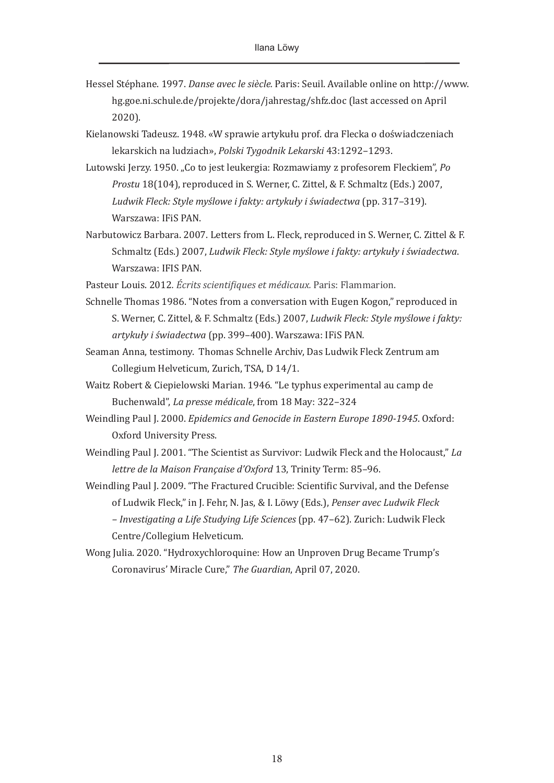- Hessel Stéphane. 1997. *Danse avec le siècle.* Paris: Seuil. Available online on [http://www.](http://www.hg.goe.ni.schule.de/projekte/dora/jahrestag/shfz.doc) [hg.goe.ni.schule.de/projekte/dora/jahrestag/shfz.doc](http://www.hg.goe.ni.schule.de/projekte/dora/jahrestag/shfz.doc) (last accessed on April 2020).
- Kielanowski Tadeusz. 1948. «W sprawie artykułu prof. dra Flecka o doświadczeniach lekarskich na ludziach», *Polski Tygodnik Lekarski* 43:1292–1293.
- Lutowski Jerzy. 1950. "Co to jest leukergia: Rozmawiamy z profesorem Fleckiem", *Po Prostu* 18(104), reproduced in S. Werner, C. Zittel, & F. Schmaltz (Eds.) 2007, *Ludwik Fleck: Style myślowe i fakty: artykuły i świadectwa* (pp. 317–319). Warszawa: IFiS PAN.
- Narbutowicz Barbara. 2007. Letters from L. Fleck, reproduced in S. Werner, C. Zittel & F. Schmaltz (Eds.) 2007, *Ludwik Fleck: Style myślowe i fakty: artykuły i świadectwa*. Warszawa: IFIS PAN.
- Pasteur Louis. 2012*. Écrits scientifiques et médicaux.* Paris: Flammarion.
- Schnelle Thomas 1986. "Notes from a conversation with Eugen Kogon," reproduced in S. Werner, C. Zittel, & F. Schmaltz (Eds.) 2007, *Ludwik Fleck: Style myślowe i fakty: artykuły i świadectwa* (pp. 399–400). Warszawa: IFiS PAN*.*
- Seaman Anna, testimony. Thomas Schnelle Archiv, Das Ludwik Fleck Zentrum am Collegium Helveticum, Zurich, TSA, D 14/1.
- Waitz Robert & Ciepielowski Marian. 1946. "Le typhus experimental au camp de Buchenwald", *La presse médicale*, from 18 May: 322–324
- Weindling Paul J. 2000. *Epidemics and Genocide in Eastern Europe 1890-1945*. Oxford: Oxford University Press.
- Weindling Paul J. 2001. "The Scientist as Survivor: Ludwik Fleck and the Holocaust," *La lettre de la Maison Française d'Oxford* 13, Trinity Term: 85–96.
- Weindling Paul J. 2009. "The Fractured Crucible: Scientific Survival, and the Defense of Ludwik Fleck," in J. Fehr, N. Jas, & I. Löwy (Eds.), *Penser avec Ludwik Fleck – Investigating a Life Studying Life Sciences* (pp. 47–62). Zurich: Ludwik Fleck Centre/Collegium Helveticum.
- Wong Julia. 2020. "Hydroxychloroquine: How an Unproven Drug Became Trump's Coronavirus' Miracle Cure," *The Guardian*, April 07, 2020.